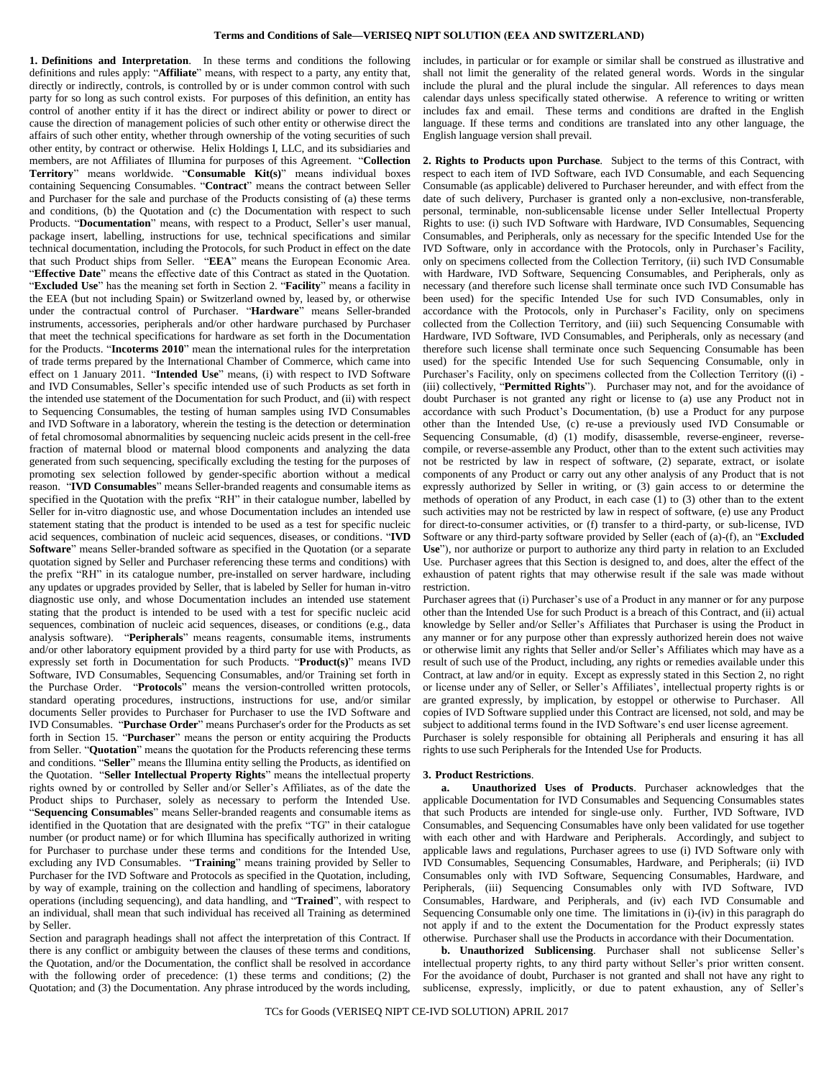<span id="page-0-2"></span>**1. Definitions and Interpretation**. In these terms and conditions the following definitions and rules apply: "**Affiliate**" means, with respect to a party, any entity that, directly or indirectly, controls, is controlled by or is under common control with such party for so long as such control exists. For purposes of this definition, an entity has control of another entity if it has the direct or indirect ability or power to direct or cause the direction of management policies of such other entity or otherwise direct the affairs of such other entity, whether through ownership of the voting securities of such other entity, by contract or otherwise. Helix Holdings I, LLC, and its subsidiaries and members, are not Affiliates of Illumina for purposes of this Agreement. "**Collection Territory**" means worldwide. "**Consumable Kit(s)**" means individual boxes containing Sequencing Consumables. "**Contract**" means the contract between Seller and Purchaser for the sale and purchase of the Products consisting of (a) these terms and conditions, (b) the Quotation and (c) the Documentation with respect to such Products. "**Documentation**" means, with respect to a Product, Seller's user manual, package insert, labelling, instructions for use, technical specifications and similar technical documentation, including the Protocols, for such Product in effect on the date that such Product ships from Seller. "**EEA**" means the European Economic Area. "**Effective Date**" means the effective date of this Contract as stated in the Quotation. "**Excluded Use**" has the meaning set forth in Sectio[n 2.](#page-0-0) "**Facility**" means a facility in the EEA (but not including Spain) or Switzerland owned by, leased by, or otherwise under the contractual control of Purchaser. "**Hardware**" means Seller-branded instruments, accessories, peripherals and/or other hardware purchased by Purchaser that meet the technical specifications for hardware as set forth in the Documentation for the Products. "**Incoterms 2010**" mean the international rules for the interpretation of trade terms prepared by the International Chamber of Commerce, which came into effect on 1 January 2011. "**Intended Use**" means, (i) with respect to IVD Software and IVD Consumables, Seller's specific intended use of such Products as set forth in the intended use statement of the Documentation for such Product, and (ii) with respect to Sequencing Consumables, the testing of human samples using IVD Consumables and IVD Software in a laboratory, wherein the testing is the detection or determination of fetal chromosomal abnormalities by sequencing nucleic acids present in the cell-free fraction of maternal blood or maternal blood components and analyzing the data generated from such sequencing, specifically excluding the testing for the purposes of promoting sex selection followed by gender-specific abortion without a medical reason. "**IVD Consumables**" means Seller-branded reagents and consumable items as specified in the Quotation with the prefix "RH" in their catalogue number, labelled by Seller for in-vitro diagnostic use, and whose Documentation includes an intended use statement stating that the product is intended to be used as a test for specific nucleic acid sequences, combination of nucleic acid sequences, diseases, or conditions. "**IVD Software**" means Seller-branded software as specified in the Quotation (or a separate quotation signed by Seller and Purchaser referencing these terms and conditions) with the prefix "RH" in its catalogue number, pre-installed on server hardware, including any updates or upgrades provided by Seller, that is labeled by Seller for human in-vitro diagnostic use only, and whose Documentation includes an intended use statement stating that the product is intended to be used with a test for specific nucleic acid sequences, combination of nucleic acid sequences, diseases, or conditions (e.g., data analysis software). "**Peripherals**" means reagents, consumable items, instruments and/or other laboratory equipment provided by a third party for use with Products, as expressly set forth in Documentation for such Products. "**Product(s)**" means IVD Software, IVD Consumables, Sequencing Consumables, and/or Training set forth in the Purchase Order. "**Protocols**" means the version-controlled written protocols, standard operating procedures, instructions, instructions for use, and/or similar documents Seller provides to Purchaser for Purchaser to use the IVD Software and IVD Consumables. "**Purchase Order**" means Purchaser's order for the Products as set forth in Section [15.](#page-2-0) "**Purchaser**" means the person or entity acquiring the Products from Seller. "**Quotation**" means the quotation for the Products referencing these terms and conditions. "**Seller**" means the Illumina entity selling the Products, as identified on the Quotation. "**Seller Intellectual Property Rights**" means the intellectual property rights owned by or controlled by Seller and/or Seller's Affiliates, as of the date the Product ships to Purchaser, solely as necessary to perform the Intended Use. "**Sequencing Consumables**" means Seller-branded reagents and consumable items as identified in the Quotation that are designated with the prefix "TG" in their catalogue number (or product name) or for which Illumina has specifically authorized in writing for Purchaser to purchase under these terms and conditions for the Intended Use, excluding any IVD Consumables. "**Training**" means training provided by Seller to Purchaser for the IVD Software and Protocols as specified in the Quotation, including, by way of example, training on the collection and handling of specimens, laboratory operations (including sequencing), and data handling, and "**Trained**", with respect to an individual, shall mean that such individual has received all Training as determined by Seller.

Section and paragraph headings shall not affect the interpretation of this Contract. If there is any conflict or ambiguity between the clauses of these terms and conditions, the Quotation, and/or the Documentation, the conflict shall be resolved in accordance with the following order of precedence: (1) these terms and conditions; (2) the Quotation; and (3) the Documentation. Any phrase introduced by the words including,

includes, in particular or for example or similar shall be construed as illustrative and shall not limit the generality of the related general words. Words in the singular include the plural and the plural include the singular. All references to days mean calendar days unless specifically stated otherwise. A reference to writing or written includes fax and email. These terms and conditions are drafted in the English language. If these terms and conditions are translated into any other language, the English language version shall prevail.

<span id="page-0-0"></span>**2. Rights to Products upon Purchase**. Subject to the terms of this Contract, with respect to each item of IVD Software, each IVD Consumable, and each Sequencing Consumable (as applicable) delivered to Purchaser hereunder, and with effect from the date of such delivery, Purchaser is granted only a non-exclusive, non-transferable, personal, terminable, non-sublicensable license under Seller Intellectual Property Rights to use: (i) such IVD Software with Hardware, IVD Consumables, Sequencing Consumables, and Peripherals, only as necessary for the specific Intended Use for the IVD Software, only in accordance with the Protocols, only in Purchaser's Facility, only on specimens collected from the Collection Territory, (ii) such IVD Consumable with Hardware, IVD Software, Sequencing Consumables, and Peripherals, only as necessary (and therefore such license shall terminate once such IVD Consumable has been used) for the specific Intended Use for such IVD Consumables, only in accordance with the Protocols, only in Purchaser's Facility, only on specimens collected from the Collection Territory, and (iii) such Sequencing Consumable with Hardware, IVD Software, IVD Consumables, and Peripherals, only as necessary (and therefore such license shall terminate once such Sequencing Consumable has been used) for the specific Intended Use for such Sequencing Consumable, only in Purchaser's Facility, only on specimens collected from the Collection Territory ((i) - (iii) collectively, "**Permitted Rights**"). Purchaser may not, and for the avoidance of doubt Purchaser is not granted any right or license to (a) use any Product not in accordance with such Product's Documentation, (b) use a Product for any purpose other than the Intended Use, (c) re-use a previously used IVD Consumable or Sequencing Consumable, (d) (1) modify, disassemble, reverse-engineer, reversecompile, or reverse-assemble any Product, other than to the extent such activities may not be restricted by law in respect of software, (2) separate, extract, or isolate components of any Product or carry out any other analysis of any Product that is not expressly authorized by Seller in writing, or (3) gain access to or determine the methods of operation of any Product, in each case (1) to (3) other than to the extent such activities may not be restricted by law in respect of software, (e) use any Product for direct-to-consumer activities, or (f) transfer to a third-party, or sub-license, IVD Software or any third-party software provided by Seller (each of (a)-(f), an "**Excluded Use**"), nor authorize or purport to authorize any third party in relation to an Excluded Use. Purchaser agrees that this Section is designed to, and does, alter the effect of the exhaustion of patent rights that may otherwise result if the sale was made without restriction.

Purchaser agrees that (i) Purchaser's use of a Product in any manner or for any purpose other than the Intended Use for such Product is a breach of this Contract, and (ii) actual knowledge by Seller and/or Seller's Affiliates that Purchaser is using the Product in any manner or for any purpose other than expressly authorized herein does not waive or otherwise limit any rights that Seller and/or Seller's Affiliates which may have as a result of such use of the Product, including, any rights or remedies available under this Contract, at law and/or in equity. Except as expressly stated in this Section [2,](#page-0-0) no right or license under any of Seller, or Seller's Affiliates', intellectual property rights is or are granted expressly, by implication, by estoppel or otherwise to Purchaser. All copies of IVD Software supplied under this Contract are licensed, not sold, and may be subject to additional terms found in the IVD Software's end user license agreement. Purchaser is solely responsible for obtaining all Peripherals and ensuring it has all rights to use such Peripherals for the Intended Use for Products.

#### <span id="page-0-1"></span>**3. Product Restrictions**.

**a. Unauthorized Uses of Products**. Purchaser acknowledges that the applicable Documentation for IVD Consumables and Sequencing Consumables states that such Products are intended for single-use only. Further, IVD Software, IVD Consumables, and Sequencing Consumables have only been validated for use together with each other and with Hardware and Peripherals. Accordingly, and subject to applicable laws and regulations, Purchaser agrees to use (i) IVD Software only with IVD Consumables, Sequencing Consumables, Hardware, and Peripherals; (ii) IVD Consumables only with IVD Software, Sequencing Consumables, Hardware, and Peripherals, (iii) Sequencing Consumables only with IVD Software, IVD Consumables, Hardware, and Peripherals, and (iv) each IVD Consumable and Sequencing Consumable only one time. The limitations in (i)-(iv) in this paragraph do not apply if and to the extent the Documentation for the Product expressly states otherwise. Purchaser shall use the Products in accordance with their Documentation.

**b. Unauthorized Sublicensing**. Purchaser shall not sublicense Seller's intellectual property rights, to any third party without Seller's prior written consent. For the avoidance of doubt, Purchaser is not granted and shall not have any right to sublicense, expressly, implicitly, or due to patent exhaustion, any of Seller's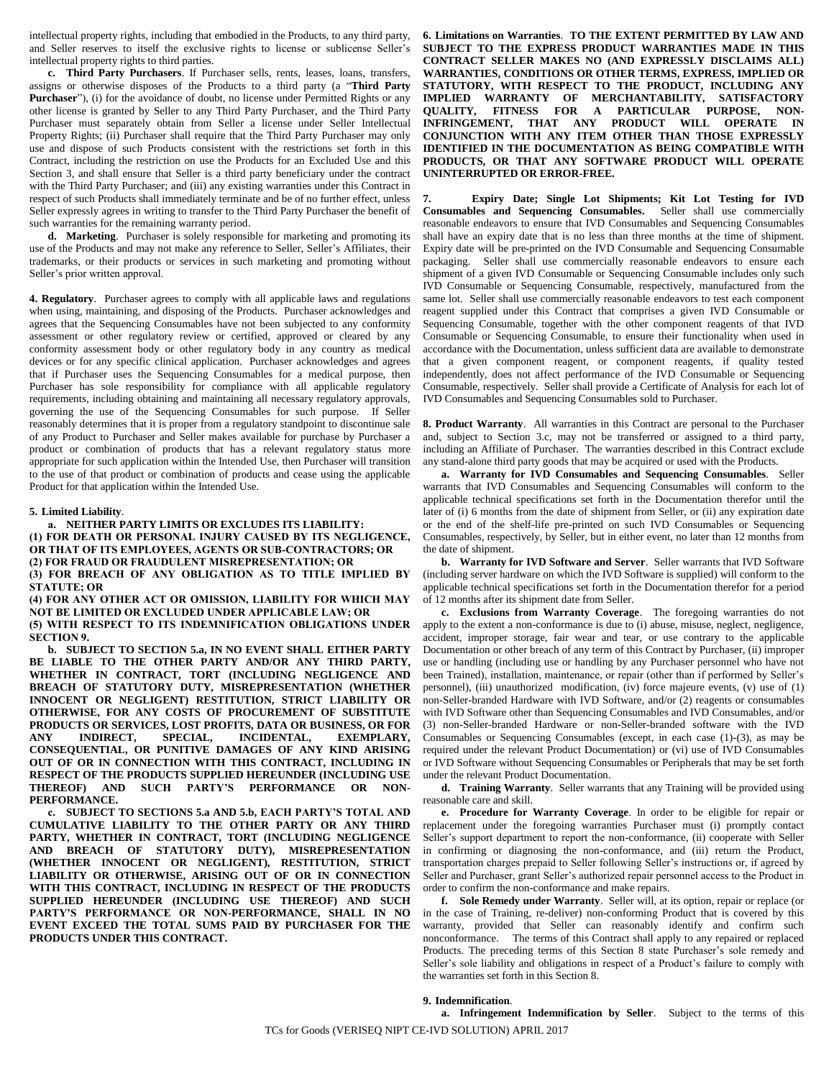intellectual property rights, including that embodied in the Products, to any third party, and Seller reserves to itself the exclusive rights to license or sublicense Seller's intellectual property rights to third parties.

<span id="page-1-3"></span>**c. Third Party Purchasers**. If Purchaser sells, rents, leases, loans, transfers, assigns or otherwise disposes of the Products to a third party (a "**Third Party Purchaser**"), (i) for the avoidance of doubt, no license under Permitted Rights or any other license is granted by Seller to any Third Party Purchaser, and the Third Party Purchaser must separately obtain from Seller a license under Seller Intellectual Property Rights; (ii) Purchaser shall require that the Third Party Purchaser may only use and dispose of such Products consistent with the restrictions set forth in this Contract, including the restriction on use the Products for an Excluded Use and this Section [3,](#page-0-1) and shall ensure that Seller is a third party beneficiary under the contract with the Third Party Purchaser; and (iii) any existing warranties under this Contract in respect of such Products shall immediately terminate and be of no further effect, unless Seller expressly agrees in writing to transfer to the Third Party Purchaser the benefit of such warranties for the remaining warranty period.

**d. Marketing**. Purchaser is solely responsible for marketing and promoting its use of the Products and may not make any reference to Seller, Seller's Affiliates, their trademarks, or their products or services in such marketing and promoting without Seller's prior written approval.

<span id="page-1-5"></span>**4. Regulatory**. Purchaser agrees to comply with all applicable laws and regulations when using, maintaining, and disposing of the Products. Purchaser acknowledges and agrees that the Sequencing Consumables have not been subjected to any conformity assessment or other regulatory review or certified, approved or cleared by any conformity assessment body or other regulatory body in any country as medical devices or for any specific clinical application. Purchaser acknowledges and agrees that if Purchaser uses the Sequencing Consumables for a medical purpose, then Purchaser has sole responsibility for compliance with all applicable regulatory requirements, including obtaining and maintaining all necessary regulatory approvals, governing the use of the Sequencing Consumables for such purpose. If Seller reasonably determines that it is proper from a regulatory standpoint to discontinue sale of any Product to Purchaser and Seller makes available for purchase by Purchaser a product or combination of products that has a relevant regulatory status more appropriate for such application within the Intended Use, then Purchaser will transition to the use of that product or combination of products and cease using the applicable Product for that application within the Intended Use.

#### <span id="page-1-6"></span>**5. Limited Liability**.

<span id="page-1-1"></span>**a. NEITHER PARTY LIMITS OR EXCLUDES ITS LIABILITY: (1) FOR DEATH OR PERSONAL INJURY CAUSED BY ITS NEGLIGENCE, OR THAT OF ITS EMPLOYEES, AGENTS OR SUB-CONTRACTORS; OR (2) FOR FRAUD OR FRAUDULENT MISREPRESENTATION; OR**

**(3) FOR BREACH OF ANY OBLIGATION AS TO TITLE IMPLIED BY STATUTE; OR**

**(4) FOR ANY OTHER ACT OR OMISSION, LIABILITY FOR WHICH MAY NOT BE LIMITED OR EXCLUDED UNDER APPLICABLE LAW; OR (5) WITH RESPECT TO ITS INDEMNIFICATION OBLIGATIONS UNDER SECTIO[N 9.](#page-1-0)**

<span id="page-1-2"></span>**b. SUBJECT TO SECTION [5.a,](#page-1-1) IN NO EVENT SHALL EITHER PARTY BE LIABLE TO THE OTHER PARTY AND/OR ANY THIRD PARTY, WHETHER IN CONTRACT, TORT (INCLUDING NEGLIGENCE AND BREACH OF STATUTORY DUTY, MISREPRESENTATION (WHETHER INNOCENT OR NEGLIGENT) RESTITUTION, STRICT LIABILITY OR OTHERWISE, FOR ANY COSTS OF PROCUREMENT OF SUBSTITUTE PRODUCTS OR SERVICES, LOST PROFITS, DATA OR BUSINESS, OR FOR ANY INDIRECT, SPECIAL, INCIDENTAL, EXEMPLARY, CONSEQUENTIAL, OR PUNITIVE DAMAGES OF ANY KIND ARISING OUT OF OR IN CONNECTION WITH THIS CONTRACT, INCLUDING IN RESPECT OF THE PRODUCTS SUPPLIED HEREUNDER (INCLUDING USE THEREOF) AND SUCH PARTY'S PERFORMANCE OR NON-PERFORMANCE.**

**c. SUBJECT TO SECTIONS [5.a](#page-1-1) AND [5.b,](#page-1-2) EACH PARTY'S TOTAL AND CUMULATIVE LIABILITY TO THE OTHER PARTY OR ANY THIRD PARTY, WHETHER IN CONTRACT, TORT (INCLUDING NEGLIGENCE AND BREACH OF STATUTORY DUTY), MISREPRESENTATION (WHETHER INNOCENT OR NEGLIGENT), RESTITUTION, STRICT LIABILITY OR OTHERWISE, ARISING OUT OF OR IN CONNECTION WITH THIS CONTRACT, INCLUDING IN RESPECT OF THE PRODUCTS SUPPLIED HEREUNDER (INCLUDING USE THEREOF) AND SUCH PARTY'S PERFORMANCE OR NON-PERFORMANCE, SHALL IN NO EVENT EXCEED THE TOTAL SUMS PAID BY PURCHASER FOR THE PRODUCTS UNDER THIS CONTRACT.**

<span id="page-1-7"></span>**6. Limitations on Warranties**. **TO THE EXTENT PERMITTED BY LAW AND SUBJECT TO THE EXPRESS PRODUCT WARRANTIES MADE IN THIS CONTRACT SELLER MAKES NO (AND EXPRESSLY DISCLAIMS ALL) WARRANTIES, CONDITIONS OR OTHER TERMS, EXPRESS, IMPLIED OR STATUTORY, WITH RESPECT TO THE PRODUCT, INCLUDING ANY IMPLIED WARRANTY OF MERCHANTABILITY, SATISFACTORY QUALITY, FITNESS FOR A PARTICULAR PURPOSE, NON-INFRINGEMENT, THAT ANY PRODUCT WILL OPERATE IN CONJUNCTION WITH ANY ITEM OTHER THAN THOSE EXPRESSLY IDENTIFIED IN THE DOCUMENTATION AS BEING COMPATIBLE WITH PRODUCTS, OR THAT ANY SOFTWARE PRODUCT WILL OPERATE UNINTERRUPTED OR ERROR-FREE.**

**7. Expiry Date; Single Lot Shipments; Kit Lot Testing for IVD Consumables and Sequencing Consumables.** Seller shall use commercially reasonable endeavors to ensure that IVD Consumables and Sequencing Consumables shall have an expiry date that is no less than three months at the time of shipment. Expiry date will be pre-printed on the IVD Consumable and Sequencing Consumable packaging. Seller shall use commercially reasonable endeavors to ensure each shipment of a given IVD Consumable or Sequencing Consumable includes only such IVD Consumable or Sequencing Consumable, respectively, manufactured from the same lot. Seller shall use commercially reasonable endeavors to test each component reagent supplied under this Contract that comprises a given IVD Consumable or Sequencing Consumable, together with the other component reagents of that IVD Consumable or Sequencing Consumable, to ensure their functionality when used in accordance with the Documentation, unless sufficient data are available to demonstrate that a given component reagent, or component reagents, if quality tested independently, does not affect performance of the IVD Consumable or Sequencing Consumable, respectively. Seller shall provide a Certificate of Analysis for each lot of IVD Consumables and Sequencing Consumables sold to Purchaser.

<span id="page-1-4"></span>**8. Product Warranty**. All warranties in this Contract are personal to the Purchaser and, subject to Section [3.c,](#page-1-3) may not be transferred or assigned to a third party, including an Affiliate of Purchaser. The warranties described in this Contract exclude any stand-alone third party goods that may be acquired or used with the Products.

**a. Warranty for IVD Consumables and Sequencing Consumables**. Seller warrants that IVD Consumables and Sequencing Consumables will conform to the applicable technical specifications set forth in the Documentation therefor until the later of (i) 6 months from the date of shipment from Seller, or (ii) any expiration date or the end of the shelf-life pre-printed on such IVD Consumables or Sequencing Consumables, respectively, by Seller, but in either event, no later than 12 months from the date of shipment.

**b. Warranty for IVD Software and Server**. Seller warrants that IVD Software (including server hardware on which the IVD Software is supplied) will conform to the applicable technical specifications set forth in the Documentation therefor for a period of 12 months after its shipment date from Seller.

**c. Exclusions from Warranty Coverage**. The foregoing warranties do not apply to the extent a non-conformance is due to (i) abuse, misuse, neglect, negligence, accident, improper storage, fair wear and tear, or use contrary to the applicable Documentation or other breach of any term of this Contract by Purchaser, (ii) improper use or handling (including use or handling by any Purchaser personnel who have not been Trained), installation, maintenance, or repair (other than if performed by Seller's personnel), (iii) unauthorized modification, (iv) force majeure events, (v) use of (1) non-Seller-branded Hardware with IVD Software, and/or (2) reagents or consumables with IVD Software other than Sequencing Consumables and IVD Consumables, and/or (3) non-Seller-branded Hardware or non-Seller-branded software with the IVD Consumables or Sequencing Consumables (except, in each case (1)-(3), as may be required under the relevant Product Documentation) or (vi) use of IVD Consumables or IVD Software without Sequencing Consumables or Peripherals that may be set forth under the relevant Product Documentation.

**d. Training Warranty**. Seller warrants that any Training will be provided using reasonable care and skill.

**e. Procedure for Warranty Coverage**. In order to be eligible for repair or replacement under the foregoing warranties Purchaser must (i) promptly contact Seller's support department to report the non-conformance, (ii) cooperate with Seller in confirming or diagnosing the non-conformance, and (iii) return the Product, transportation charges prepaid to Seller following Seller's instructions or, if agreed by Seller and Purchaser, grant Seller's authorized repair personnel access to the Product in order to confirm the non-conformance and make repairs.

**f. Sole Remedy under Warranty**. Seller will, at its option, repair or replace (or in the case of Training, re-deliver) non-conforming Product that is covered by this warranty, provided that Seller can reasonably identify and confirm such nonconformance. The terms of this Contract shall apply to any repaired or replaced Products. The preceding terms of this Section 8 state Purchaser's sole remedy and Seller's sole liability and obligations in respect of a Product's failure to comply with the warranties set forth in this Section [8.](#page-1-4)

### <span id="page-1-0"></span>**9. Indemnification**.

**a. Infringement Indemnification by Seller**. Subject to the terms of this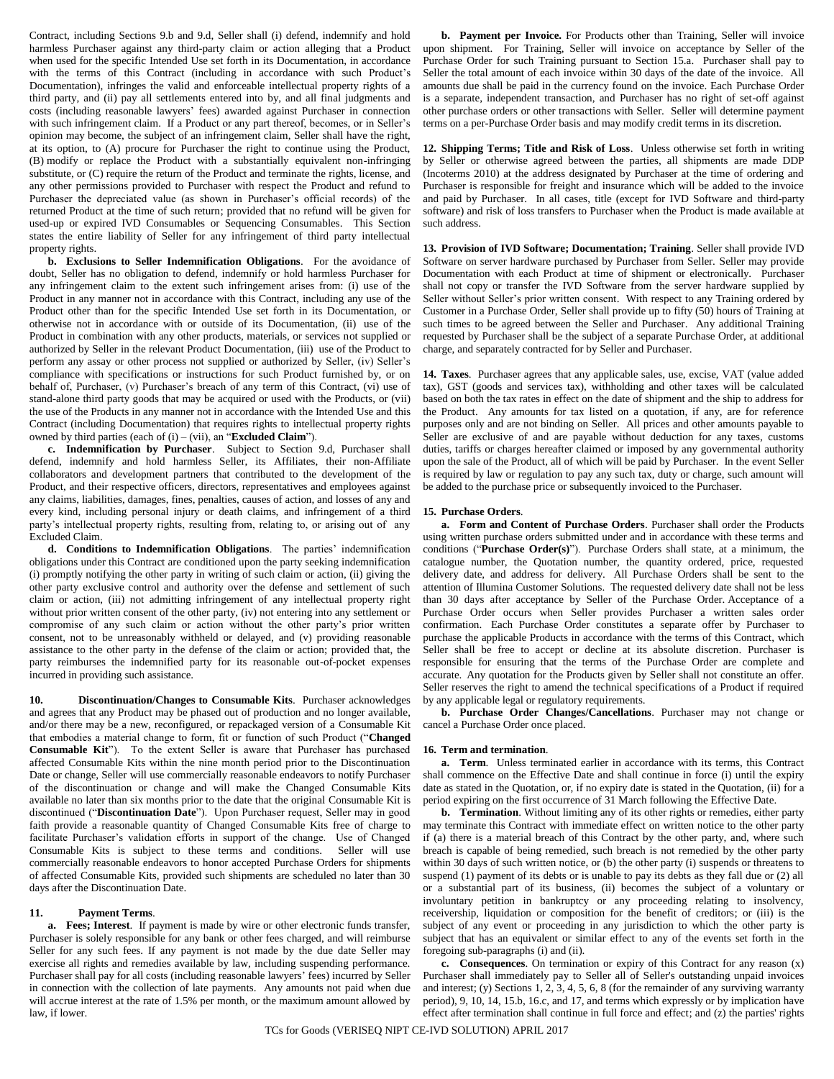Contract, including Sections [9.b](#page-2-1) and [9.d,](#page-2-2) Seller shall (i) defend, indemnify and hold harmless Purchaser against any third-party claim or action alleging that a Product when used for the specific Intended Use set forth in its Documentation, in accordance with the terms of this Contract (including in accordance with such Product's Documentation), infringes the valid and enforceable intellectual property rights of a third party, and (ii) pay all settlements entered into by, and all final judgments and costs (including reasonable lawyers' fees) awarded against Purchaser in connection with such infringement claim. If a Product or any part thereof, becomes, or in Seller's opinion may become, the subject of an infringement claim, Seller shall have the right, at its option, to (A) procure for Purchaser the right to continue using the Product, (B) modify or replace the Product with a substantially equivalent non-infringing substitute, or (C) require the return of the Product and terminate the rights, license, and any other permissions provided to Purchaser with respect the Product and refund to Purchaser the depreciated value (as shown in Purchaser's official records) of the returned Product at the time of such return; provided that no refund will be given for used-up or expired IVD Consumables or Sequencing Consumables. This Section states the entire liability of Seller for any infringement of third party intellectual property rights.

<span id="page-2-1"></span>**b. Exclusions to Seller Indemnification Obligations**. For the avoidance of doubt, Seller has no obligation to defend, indemnify or hold harmless Purchaser for any infringement claim to the extent such infringement arises from: (i) use of the Product in any manner not in accordance with this Contract, including any use of the Product other than for the specific Intended Use set forth in its Documentation, or otherwise not in accordance with or outside of its Documentation, (ii) use of the Product in combination with any other products, materials, or services not supplied or authorized by Seller in the relevant Product Documentation, (iii) use of the Product to perform any assay or other process not supplied or authorized by Seller, (iv) Seller's compliance with specifications or instructions for such Product furnished by, or on behalf of, Purchaser, (v) Purchaser's breach of any term of this Contract, (vi) use of stand-alone third party goods that may be acquired or used with the Products, or (vii) the use of the Products in any manner not in accordance with the Intended Use and this Contract (including Documentation) that requires rights to intellectual property rights owned by third parties (each of (i) – (vii), an "**Excluded Claim**").

**c. Indemnification by Purchaser**. Subject to Section [9.d,](#page-2-2) Purchaser shall defend, indemnify and hold harmless Seller, its Affiliates, their non-Affiliate collaborators and development partners that contributed to the development of the Product, and their respective officers, directors, representatives and employees against any claims, liabilities, damages, fines, penalties, causes of action, and losses of any and every kind, including personal injury or death claims, and infringement of a third party's intellectual property rights, resulting from, relating to, or arising out of any Excluded Claim.

<span id="page-2-2"></span>**d. Conditions to Indemnification Obligations**. The parties' indemnification obligations under this Contract are conditioned upon the party seeking indemnification (i) promptly notifying the other party in writing of such claim or action, (ii) giving the other party exclusive control and authority over the defense and settlement of such claim or action, (iii) not admitting infringement of any intellectual property right without prior written consent of the other party, (iv) not entering into any settlement or compromise of any such claim or action without the other party's prior written consent, not to be unreasonably withheld or delayed, and (v) providing reasonable assistance to the other party in the defense of the claim or action; provided that, the party reimburses the indemnified party for its reasonable out-of-pocket expenses incurred in providing such assistance.

<span id="page-2-4"></span>**10. Discontinuation/Changes to Consumable Kits**. Purchaser acknowledges and agrees that any Product may be phased out of production and no longer available, and/or there may be a new, reconfigured, or repackaged version of a Consumable Kit that embodies a material change to form, fit or function of such Product ("**Changed Consumable Kit**"). To the extent Seller is aware that Purchaser has purchased affected Consumable Kits within the nine month period prior to the Discontinuation Date or change, Seller will use commercially reasonable endeavors to notify Purchaser of the discontinuation or change and will make the Changed Consumable Kits available no later than six months prior to the date that the original Consumable Kit is discontinued ("**Discontinuation Date**"). Upon Purchaser request, Seller may in good faith provide a reasonable quantity of Changed Consumable Kits free of charge to facilitate Purchaser's validation efforts in support of the change. Use of Changed Consumable Kits is subject to these terms and conditions. Seller will use commercially reasonable endeavors to honor accepted Purchase Orders for shipments of affected Consumable Kits, provided such shipments are scheduled no later than 30 days after the Discontinuation Date.

# **11. Payment Terms**.

**a. Fees; Interest**. If payment is made by wire or other electronic funds transfer, Purchaser is solely responsible for any bank or other fees charged, and will reimburse Seller for any such fees. If any payment is not made by the due date Seller may exercise all rights and remedies available by law, including suspending performance. Purchaser shall pay for all costs (including reasonable lawyers' fees) incurred by Seller in connection with the collection of late payments. Any amounts not paid when due will accrue interest at the rate of 1.5% per month, or the maximum amount allowed by law, if lower.

**b. Payment per Invoice.** For Products other than Training, Seller will invoice upon shipment. For Training, Seller will invoice on acceptance by Seller of the Purchase Order for such Training pursuant to Section [15.a.](#page-2-3) Purchaser shall pay to Seller the total amount of each invoice within 30 days of the date of the invoice. All amounts due shall be paid in the currency found on the invoice. Each Purchase Order is a separate, independent transaction, and Purchaser has no right of set-off against other purchase orders or other transactions with Seller. Seller will determine payment terms on a per-Purchase Order basis and may modify credit terms in its discretion.

**12. Shipping Terms; Title and Risk of Loss**. Unless otherwise set forth in writing by Seller or otherwise agreed between the parties, all shipments are made DDP (Incoterms 2010) at the address designated by Purchaser at the time of ordering and Purchaser is responsible for freight and insurance which will be added to the invoice and paid by Purchaser. In all cases, title (except for IVD Software and third-party software) and risk of loss transfers to Purchaser when the Product is made available at such address.

**13. Provision of IVD Software; Documentation; Training**. Seller shall provide IVD Software on server hardware purchased by Purchaser from Seller. Seller may provide Documentation with each Product at time of shipment or electronically. Purchaser shall not copy or transfer the IVD Software from the server hardware supplied by Seller without Seller's prior written consent. With respect to any Training ordered by Customer in a Purchase Order, Seller shall provide up to fifty (50) hours of Training at such times to be agreed between the Seller and Purchaser. Any additional Training requested by Purchaser shall be the subject of a separate Purchase Order, at additional charge, and separately contracted for by Seller and Purchaser.

<span id="page-2-5"></span>**14. Taxes**.Purchaser agrees that any applicable sales, use, excise, VAT (value added tax), GST (goods and services tax), withholding and other taxes will be calculated based on both the tax rates in effect on the date of shipment and the ship to address for the Product. Any amounts for tax listed on a quotation, if any, are for reference purposes only and are not binding on Seller. All prices and other amounts payable to Seller are exclusive of and are payable without deduction for any taxes, customs duties, tariffs or charges hereafter claimed or imposed by any governmental authority upon the sale of the Product, all of which will be paid by Purchaser. In the event Seller is required by law or regulation to pay any such tax, duty or charge, such amount will be added to the purchase price or subsequently invoiced to the Purchaser.

### <span id="page-2-0"></span>**15. Purchase Orders**.

<span id="page-2-3"></span>**a. Form and Content of Purchase Orders**. Purchaser shall order the Products using written purchase orders submitted under and in accordance with these terms and conditions ("**Purchase Order(s)**"). Purchase Orders shall state, at a minimum, the catalogue number, the Quotation number, the quantity ordered, price, requested delivery date, and address for delivery. All Purchase Orders shall be sent to the attention of Illumina Customer Solutions. The requested delivery date shall not be less than 30 days after acceptance by Seller of the Purchase Order. Acceptance of a Purchase Order occurs when Seller provides Purchaser a written sales order confirmation. Each Purchase Order constitutes a separate offer by Purchaser to purchase the applicable Products in accordance with the terms of this Contract, which Seller shall be free to accept or decline at its absolute discretion. Purchaser is responsible for ensuring that the terms of the Purchase Order are complete and accurate. Any quotation for the Products given by Seller shall not constitute an offer. Seller reserves the right to amend the technical specifications of a Product if required by any applicable legal or regulatory requirements.

**b. Purchase Order Changes/Cancellations**. Purchaser may not change or cancel a Purchase Order once placed.

# **16. Term and termination**.

**a. Term**. Unless terminated earlier in accordance with its terms, this Contract shall commence on the Effective Date and shall continue in force (i) until the expiry date as stated in the Quotation, or, if no expiry date is stated in the Quotation, (ii) for a period expiring on the first occurrence of 31 March following the Effective Date.

**b. Termination**. Without limiting any of its other rights or remedies, either party may terminate this Contract with immediate effect on written notice to the other party if (a) there is a material breach of this Contract by the other party, and, where such breach is capable of being remedied, such breach is not remedied by the other party within 30 days of such written notice, or (b) the other party (i) suspends or threatens to suspend (1) payment of its debts or is unable to pay its debts as they fall due or (2) all or a substantial part of its business, (ii) becomes the subject of a voluntary or involuntary petition in bankruptcy or any proceeding relating to insolvency, receivership, liquidation or composition for the benefit of creditors; or (iii) is the subject of any event or proceeding in any jurisdiction to which the other party is subject that has an equivalent or similar effect to any of the events set forth in the foregoing sub-paragraphs (i) and (ii).

<span id="page-2-6"></span>**c. Consequences**. On termination or expiry of this Contract for any reason (x) Purchaser shall immediately pay to Seller all of Seller's outstanding unpaid invoices and interest; (y) Section[s 1,](#page-0-2) [2,](#page-0-0) [3,](#page-0-1) [4,](#page-1-5) [5,](#page-1-6) [6,](#page-1-7) [8](#page-1-4) (for the remainder of any surviving warranty period), [9,](#page-1-0) [10,](#page-2-4) [14,](#page-2-5) 15.b, [16.c,](#page-2-6) an[d 17,](#page-3-0) and terms which expressly or by implication have effect after termination shall continue in full force and effect; and (z) the parties' rights